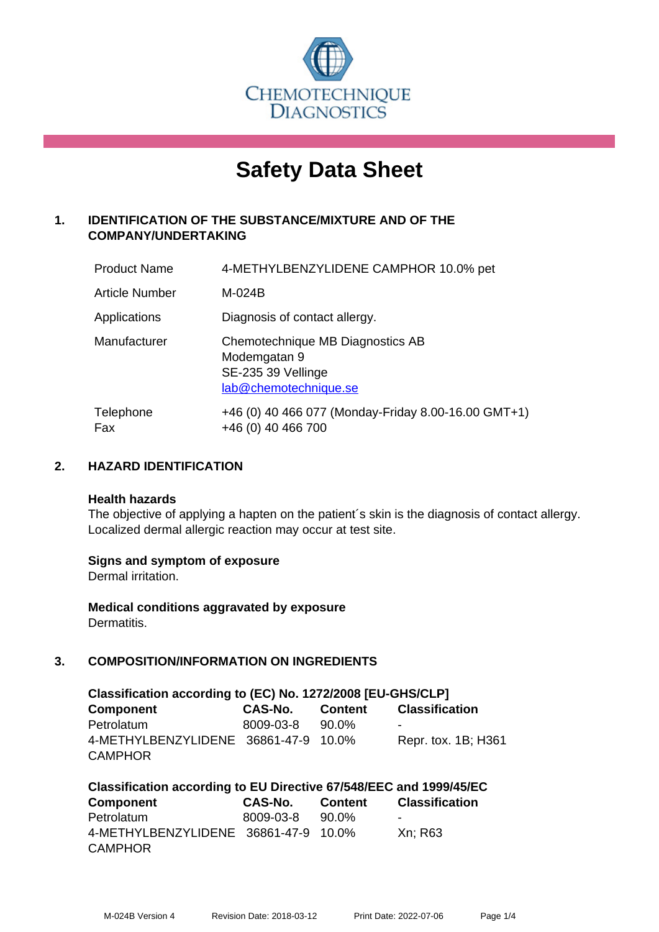

# **Safety Data Sheet**

# **1. IDENTIFICATION OF THE SUBSTANCE/MIXTURE AND OF THE COMPANY/UNDERTAKING**

| <b>Product Name</b>   | 4-METHYLBENZYLIDENE CAMPHOR 10.0% pet                                                           |
|-----------------------|-------------------------------------------------------------------------------------------------|
| <b>Article Number</b> | M-024B                                                                                          |
| Applications          | Diagnosis of contact allergy.                                                                   |
| Manufacturer          | Chemotechnique MB Diagnostics AB<br>Modemgatan 9<br>SE-235 39 Vellinge<br>lab@chemotechnique.se |
| Telephone<br>Fax      | +46 (0) 40 466 077 (Monday-Friday 8.00-16.00 GMT+1)<br>+46 (0) 40 466 700                       |

# **2. HAZARD IDENTIFICATION**

#### **Health hazards**

The objective of applying a hapten on the patient's skin is the diagnosis of contact allergy. Localized dermal allergic reaction may occur at test site.

## **Signs and symptom of exposure**

Dermal irritation.

**Medical conditions aggravated by exposure** Dermatitis.

# **3. COMPOSITION/INFORMATION ON INGREDIENTS**

| Classification according to (EC) No. 1272/2008 [EU-GHS/CLP] |           |         |                       |  |  |  |
|-------------------------------------------------------------|-----------|---------|-----------------------|--|--|--|
| Component                                                   | CAS-No.   | Content | <b>Classification</b> |  |  |  |
| Petrolatum                                                  | 8009-03-8 | 90.0%   | -                     |  |  |  |
| 4-METHYLBENZYLIDENE 36861-47-9 10.0%                        |           |         | Repr. tox. 1B; H361   |  |  |  |
| <b>CAMPHOR</b>                                              |           |         |                       |  |  |  |

| Classification according to EU Directive 67/548/EEC and 1999/45/EC |           |         |                       |  |  |  |
|--------------------------------------------------------------------|-----------|---------|-----------------------|--|--|--|
| <b>Component</b>                                                   | CAS-No.   | Content | <b>Classification</b> |  |  |  |
| Petrolatum                                                         | 8009-03-8 | 90.0%   | -                     |  |  |  |
| 4-METHYLBENZYLIDENE 36861-47-9 10.0%                               |           |         | Xn: R63               |  |  |  |
| <b>CAMPHOR</b>                                                     |           |         |                       |  |  |  |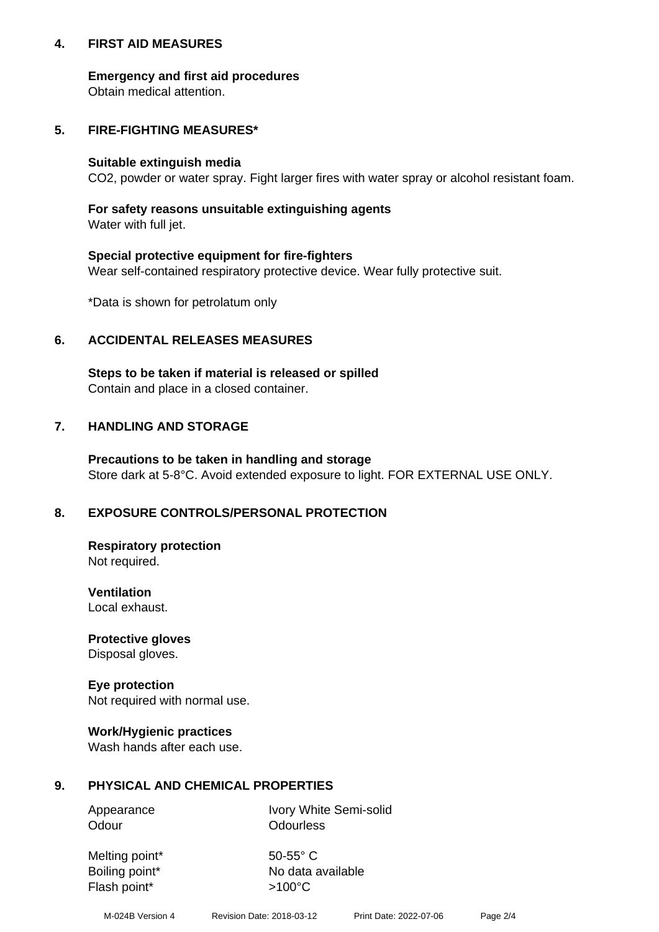## **4. FIRST AID MEASURES**

## **Emergency and first aid procedures**

Obtain medical attention.

# **5. FIRE-FIGHTING MEASURES\***

#### **Suitable extinguish media**

CO2, powder or water spray. Fight larger fires with water spray or alcohol resistant foam.

# **For safety reasons unsuitable extinguishing agents**

Water with full jet.

## **Special protective equipment for fire-fighters**

Wear self-contained respiratory protective device. Wear fully protective suit.

\*Data is shown for petrolatum only

## **6. ACCIDENTAL RELEASES MEASURES**

**Steps to be taken if material is released or spilled** Contain and place in a closed container.

# **7. HANDLING AND STORAGE**

**Precautions to be taken in handling and storage** Store dark at 5-8°C. Avoid extended exposure to light. FOR EXTERNAL USE ONLY.

# **8. EXPOSURE CONTROLS/PERSONAL PROTECTION**

**Respiratory protection** Not required.

**Ventilation** Local exhaust.

**Protective gloves** Disposal gloves.

#### **Eye protection** Not required with normal use.

## **Work/Hygienic practices**

Wash hands after each use.

## **9. PHYSICAL AND CHEMICAL PROPERTIES**

Odour **Odourless** 

Appearance Ivory White Semi-solid

Melting point\* 50-55° C Flash point\*  $>100^{\circ}$ C

Boiling point\* No data available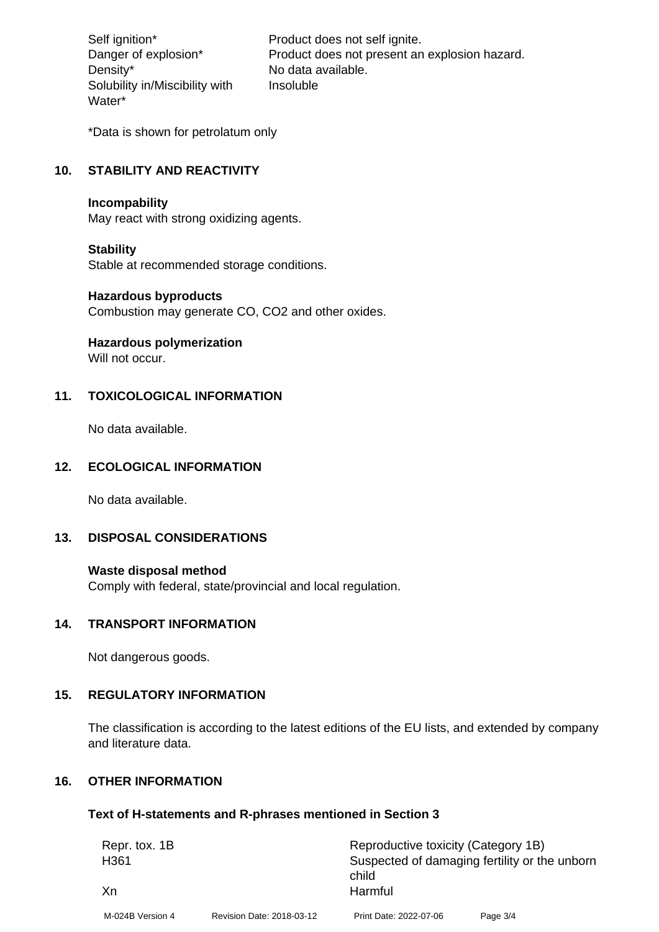Density\* No data available. Solubility in/Miscibility with Water\*

Self ignition\* Product does not self ignite. Danger of explosion\* Product does not present an explosion hazard. Insoluble

\*Data is shown for petrolatum only

## **10. STABILITY AND REACTIVITY**

#### **Incompability**

May react with strong oxidizing agents.

#### **Stability**

Stable at recommended storage conditions.

#### **Hazardous byproducts**

Combustion may generate CO, CO2 and other oxides.

**Hazardous polymerization**

Will not occur.

## **11. TOXICOLOGICAL INFORMATION**

No data available.

#### **12. ECOLOGICAL INFORMATION**

No data available.

## **13. DISPOSAL CONSIDERATIONS**

#### **Waste disposal method**

Comply with federal, state/provincial and local regulation.

#### **14. TRANSPORT INFORMATION**

Not dangerous goods.

## **15. REGULATORY INFORMATION**

The classification is according to the latest editions of the EU lists, and extended by company and literature data.

#### **16. OTHER INFORMATION**

#### **Text of H-statements and R-phrases mentioned in Section 3**

| Repr. tox. 1B    |                           | Reproductive toxicity (Category 1B)                    |          |  |
|------------------|---------------------------|--------------------------------------------------------|----------|--|
| H361             |                           | Suspected of damaging fertility or the unborn<br>child |          |  |
| Xn               |                           | Harmful                                                |          |  |
| M-024B Version 4 | Revision Date: 2018-03-12 | Print Date: 2022-07-06                                 | Page 3/4 |  |